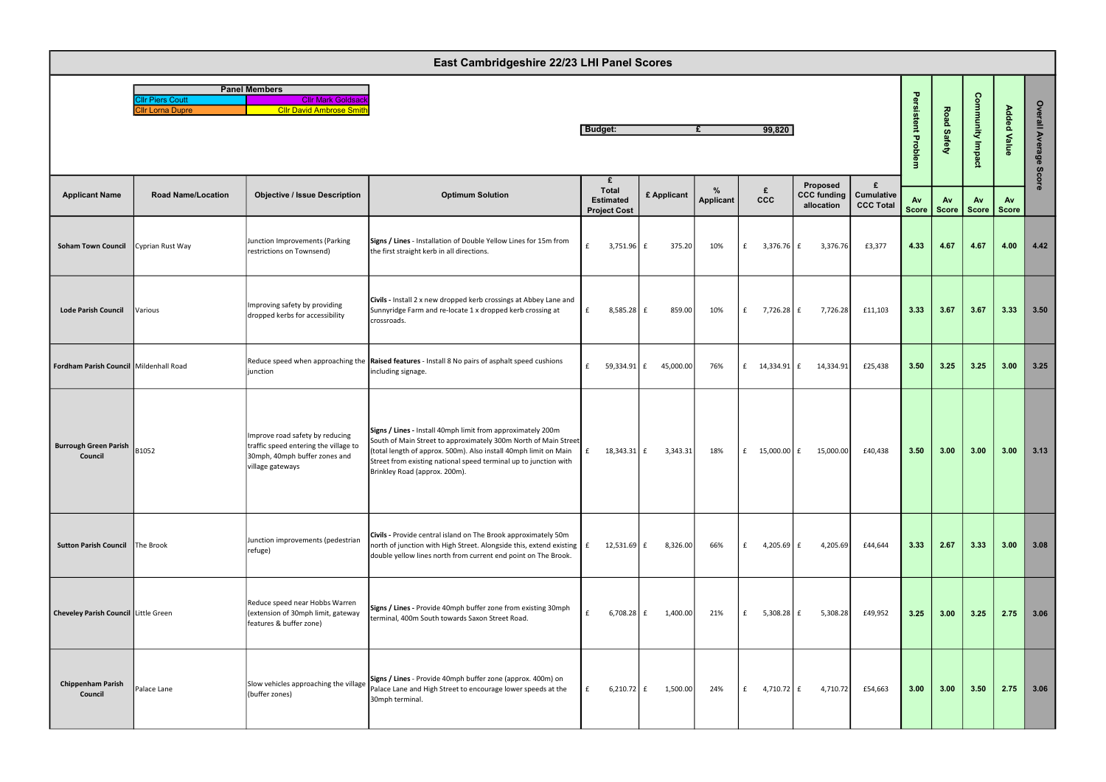| <b>Panel Members</b>    |                                  |  |  |  |  |  |  |  |  |
|-------------------------|----------------------------------|--|--|--|--|--|--|--|--|
| <b>Cllr Piers Coutt</b> | <b>Cllr Mark Goldsack</b>        |  |  |  |  |  |  |  |  |
| <b>Cllr Lorna Dupre</b> | <b>Cllr David Ambrose Smithl</b> |  |  |  |  |  |  |  |  |

|                                         | East Cambridgeshire 22/23 LHI Panel Scores         |                                                                                                                               |                                                                                                                                                                                                                                                                                                         |                                                              |                       |                       |                         |                                                           |                       |                    |                     |                         |                    |                        |
|-----------------------------------------|----------------------------------------------------|-------------------------------------------------------------------------------------------------------------------------------|---------------------------------------------------------------------------------------------------------------------------------------------------------------------------------------------------------------------------------------------------------------------------------------------------------|--------------------------------------------------------------|-----------------------|-----------------------|-------------------------|-----------------------------------------------------------|-----------------------|--------------------|---------------------|-------------------------|--------------------|------------------------|
|                                         | <b>Clir Piers Coutt</b><br><b>Clir Lorna Dupre</b> | <b>Panel Members</b><br><b>Cllr Mark Goldsac</b><br><b>Cllr David Ambrose Smith</b>                                           | <b>Budget:</b><br>99,820<br>£                                                                                                                                                                                                                                                                           |                                                              |                       |                       |                         |                                                           |                       |                    | Road Safety         | <b>Community Impact</b> | <b>Added Value</b> | <b>Overall Average</b> |
| <b>Applicant Name</b>                   | <b>Road Name/Location</b>                          | <b>Objective / Issue Description</b>                                                                                          | <b>Optimum Solution</b>                                                                                                                                                                                                                                                                                 | £<br><b>Total</b><br><b>Estimated</b><br><b>Project Cost</b> | £ Applicant           | %<br><b>Applicant</b> | £<br><b>CCC</b>         | Proposed<br><b>CCC funding   Cumulative</b><br>allocation | £<br><b>CCC Total</b> | Av<br><b>Score</b> | Av.<br><b>Score</b> | Av.<br>Score            | <b>Av</b><br>Score | <b>Score</b>           |
| <b>Soham Town Council</b>               | Cyprian Rust Way                                   | Junction Improvements (Parking<br>restrictions on Townsend)                                                                   | Signs / Lines - Installation of Double Yellow Lines for 15m from<br>the first straight kerb in all directions.                                                                                                                                                                                          | 3,751.96 $\vert$ £                                           | 375.20                | 10%                   | 3,376.76 $\vert$ £<br>f | 3,376.76                                                  | £3,377                | 4.33               | 4.67                | 4.67                    | 4.00               | 4.42                   |
| <b>Lode Parish Council</b>              | Various                                            | Improving safety by providing<br>dropped kerbs for accessibility                                                              | Civils - Install 2 x new dropped kerb crossings at Abbey Lane and<br>Sunnyridge Farm and re-locate 1 x dropped kerb crossing at<br>crossroads.                                                                                                                                                          | 8,585.28                                                     | 859.00<br>£           | 10%                   | 7,726.28 E<br>f         | 7,726.28                                                  | £11,103               | 3.33               | 3.67                | 3.67                    | 3.33               | 3.50                   |
| Fordham Parish Council Mildenhall Road  |                                                    | junction                                                                                                                      | Reduce speed when approaching the Raised features - Install 8 No pairs of asphalt speed cushions<br>including signage.                                                                                                                                                                                  |                                                              | 59,334.91 f 45,000.00 | 76%                   | $f = 14,334.91$ $f =$   | 14,334.91                                                 | £25,438               | 3.50               | 3.25                | 3.25                    | 3.00               | 3.25                   |
| <b>Burrough Green Parish</b><br>Council | B1052                                              | Improve road safety by reducing<br>traffic speed entering the village to<br>30mph, 40mph buffer zones and<br>village gateways | Signs / Lines - Install 40mph limit from approximately 200m<br>South of Main Street to approximately 300m North of Main Street<br>(total length of approx. 500m). Also install 40mph limit on Main<br>Street from existing national speed terminal up to junction with<br>Brinkley Road (approx. 200m). | 18,343.31 E                                                  | 3,343.31              | 18%                   | $f = 15,000.00$ $f =$   | 15,000.00                                                 | £40,438               | 3.50               | 3.00                | 3.00                    | 3.00               | 3.13                   |
| Sutton Parish Council The Brook         |                                                    | Junction improvements (pedestrian<br>refuge)                                                                                  | Civils - Provide central island on The Brook approximately 50m<br>north of junction with High Street. Alongside this, extend existing $\int f$<br>double yellow lines north from current end point on The Brook.                                                                                        | 12,531.69 $E$                                                | 8,326.00              | 66%                   | 4,205.69 $E$<br>f       | 4,205.69                                                  | £44,644               | 3.33               | 2.67                | 3.33                    | 3.00               | 3.08                   |
| Cheveley Parish Council Little Green    |                                                    | Reduce speed near Hobbs Warren<br>(extension of 30mph limit, gateway<br>features & buffer zone)                               | Signs / Lines - Provide 40mph buffer zone from existing 30mph<br>terminal, 400m South towards Saxon Street Road.                                                                                                                                                                                        | 6,708.28 $E$                                                 | 1,400.00              | 21%                   | 5,308.28 $E$<br>f       | 5,308.28                                                  | £49,952               | 3.25               | 3.00                | 3.25                    | 2.75               | 3.06                   |
| <b>Chippenham Parish</b><br>Council     | Palace Lane                                        | Slow vehicles approaching the village<br>(buffer zones)                                                                       | Signs / Lines - Provide 40mph buffer zone (approx. 400m) on<br>Palace Lane and High Street to encourage lower speeds at the<br>30mph terminal.                                                                                                                                                          | 6,210.72 $\vert$ £                                           | 1,500.00              | 24%                   | $f = 4,710.72$ $f = 6$  | 4,710.72                                                  | £54,663               | 3.00               | 3.00                | 3.50                    | 2.75               | 3.06                   |